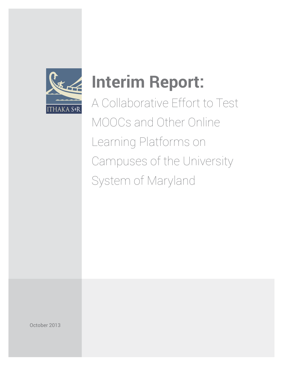

# **Interim Report:**

A Collaborative Effort to Test MOOCs and Other Online Learning Platforms on Campuses of the University System of Maryland

October 2013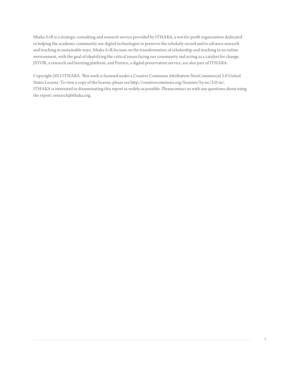Ithaka S+R is a strategic consulting and research service provided by ITHAKA, a not-for-profit organization dedicated to helping the academic community use digital technologies to preserve the scholarly record and to advance research and teaching in sustainable ways. Ithaka S+R focuses on the transformation of scholarship and teaching in an online environment, with the goal of identifying the critical issues facing our community and acting as a catalyst for change. JSTOR, a research and learning platform, and Portico, a digital preservation service, are also part of ITHAKA.

Copyright 2013 ITHAKA. This work is licensed under a Creative Commons Attribution-NonCommercial 3.0 United States License. To view a copy of the license, please see <http://creativecommons.org/licenses/by-nc/3.0/us>/. ITHAKA is interested in disseminating this report as widely as possible. Pleasecontact us with any questions about using the report: [research@ithaka.org](mailto:research@ithaka.org).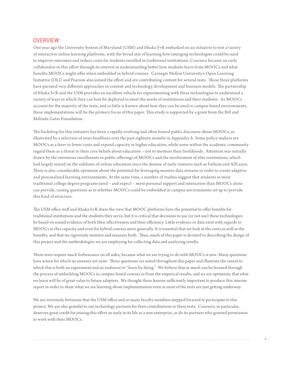### **OVERVIEW**

One year ago the University System of Maryland (USM) and Ithaka S+R embarked on an initiative to test a variety of interactive online learning platforms, with the broad aim of learning how emerging technologies could be used to improve outcomes and reduce costs for students enrolled in traditional institutions. Coursera became an early collaborator in this effort through its interest in understanding better how students learn from MOOCs and what benefits MOOCs might offer when embedded in hybrid courses. Carnegie Mellon University's Open Learning Initiative (OLI) and Pearson also joined the effort and are contributing content for several tests. These three platforms have pursued very different approaches to content and technology development and business models. The partnership of Ithaka S+R and the USM provides an excellent vehicle for experimenting with these technologies to understand a variety of ways in which they can best be deployed to meet the needs of institutions and their students. As MOOCs account for the majority of the tests, and so little is known about how they can be used in campus-based environments, these implementations will be the primary focus of this paper. This study is supported by a grant from the Bill and Melinda Gates Foundation.

The backdrop for this initiative has been a rapidly evolving and often heated public discourse about MOOCs, as illustrated by a selection of news headlines over the past eighteen months in Appendix A. Some policy-makers see MOOCs as a lever to lower costs and expand capacity in higher education, while some within the academic community regard them as a threat to their core beliefs about education – not to mention their livelihoods. Attention was initially drawn by the enormous enrollments in public offerings of MOOCs and the involvement of elite institutions, which had largely stayed on the sidelines of online education since the demise of early ventures such as Fathom and AllLearn. There is also considerable optimism about the potential for leveraging massive data streams in order to create adaptive and personalized learning environments. At the same time, a number of studies suggest that students in most traditional college degree programs need – and expect – more personal support and interaction than MOOCs alone can provide, raising questions as to whether MOOCs could be embedded in campus environments set up to provide this kind of structure.

The USM office staff and Ithaka S+R share the view that MOOC platforms have the potential to offer benefits for traditional institutions and the students they serve, but it is critical that decisions to use (or not use) these technologies be based on sound evidence of both their effectiveness and their efficiency. Little evidence or data exist with regards to MOOCs in this capacity and even for hybrid courses more generally. It is essential that we look at the costs as well as the benefits, and that we rigorously monitor and measure both. Thus, much of this paper is devoted to describing the design of this project and the methodologies we are employing for collecting data and analyzing results.

These tests require much forbearance on all sides, because what we are trying to do with MOOCs is new. Many questions have arisen for which no answers yet exist. These questions are noted throughout this paper and illustrate the extent to which this is both an experiment and an endeavor to "learn by doing." We believe that as much can be learned through the process of embedding MOOCs in campus-based courses as from the empirical results, and we are optimistic that what we learn will be of great value to future adopters. We thought these lessons sufficiently important to produce this interim report in order to share what we are learning about implementation even as most of the tests are just getting underway.

We are extremely fortunate that the USM office and so many faculty members stepped forward to participate in this project. We are also grateful to our technology partners for their contributions to these tests. Coursera, in particular, deserves great credit for joining this effort so early in its life as a new enterprise, as do its partners who granted permission to work with their MOOCs.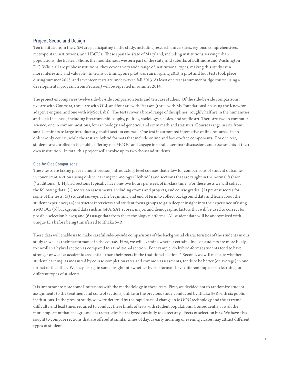#### Project Scope and Design

Ten institutions in the USM are participating in the study, including research universities, regional comprehensives, metropolitan institutions, and HBCUs. These span the state of Maryland, including institutions serving urban populations, the Eastern Shore, the mountainous western part of the state, and suburbs of Baltimore and Washington D.C. While all are public institutions, they cover a very wide range of institutional types, making this study even more interesting and valuable. In terms of timing, one pilot was run in spring 2013, a pilot and four tests took place during summer 2013, and seventeen tests are underway in fall 2013. At least one test (a summer bridge course using a developmental program from Pearson) will be repeated in summer 2014.

The project encompasses twelve side-by-side comparison tests and ten case studies. Of the side-by-side comparisons, five are with Coursera, three are with OLI, and four are with Pearson (three with MyFoundationsLab using the Knewton adaptive engine, and one with MySocLabs). The tests cover a broad range of disciplines: roughly half are in the humanities and social sciences, including literature, philosophy, politics, sociology, classics, and studio art. There are two in computer science, one in communications, four in biology and genetics, and six in math and statistics. Courses range in size from small seminars to large introductory, multi-section courses. One test incorporated interactive online resources in an online-only course, while the rest are hybrid formats that include online and face-to-face components. For one test, students are enrolled in the public offering of a MOOC and engage in parallel seminar discussions and assessments at their own institution. In total this project will involve up to two thousand students.

#### Side-by-Side Comparisons

These tests are taking place in multi-section, introductory level courses that allow for comparisons of student outcomes in concurrent sections using online learning technology ("hybrid") and sections that are taught in the normal fashion ("traditional"). Hybrid sections typically have one-two hours per week of in-class time. For these tests we will collect the following data: (1) scores on assessments, including exams and projects, and course grades; (2) pre-test scores for some of the tests; (3) student surveys at the beginning and end of term to collect background data and learn about the student experience; (4) instructor interviews and student focus groups to gain deeper insight into the experience of using a MOOC; (5) background data such as GPA, SAT scores, major, and demographic factors that will be used to correct for possible selection biases; and (6) usage data from the technology platforms. All student data will be anonymized with unique IDs before being transferred to Ithaka S+R.

These data will enable us to make careful side-by-side comparisons of the background characteristics of the students in our study as well as their performance in the course. First, we will examine whether certain kinds of students are more likely to enroll in a hybrid section as compared to a traditional section. For example, do hybrid-format students tend to have stronger or weaker academic credentials than their peers in the traditional sections? Second, we will measure whether student learning, as measured by course completion rates and common assessments, tends to be better (on average) in one format or the other. We may also gain some insight into whether hybrid formats have different impacts on learning for different types of students.

It is important to note some limitations with the methodology in these tests. First, we decided not to randomize student assignments to the treatment and control sections, unlike in the previous study conducted by Ithaka S+R with six public institutions. In the present study, we were deterred by the rapid pace of change in MOOC technology and the extreme difficulty and lead times required to conduct these kinds of tests with student populations. Consequently, it is all the more important that background characteristics be analyzed carefully to detect any effects of selection bias. We have also sought to compare sections that are offered at similar times of day, as early morning or evening classes may attract different types of students.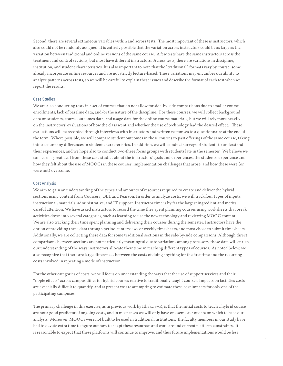Second, there are several extraneous variables within and across tests. The most important of these is instructors, which also could not be randomly assigned. It is entirely possible that the variation across instructors could be as large as the variation between traditional and online versions of the same course. A few tests have the same instructors across the treatment and control sections, but most have different instructors. Across tests, there are variations in discipline, institution, and student characteristics. It is also important to note that the "traditional" formats vary by course; some already incorporate online resources and are not strictly lecture-based. These variations may encumber our ability to analyze patterns across tests, so we will be careful to explain these issues and describe the format of each test when we report the results.

#### Case Studies

We are also conducting tests in a set of courses that do not allow for side-by-side comparisons due to smaller course enrollments, lack of baseline data, and/or the nature of the discipline. For these courses, we will collect background data on students, course outcomes data, and usage data for the online course materials, but we will rely more heavily on the instructors' evaluations of how the class went and whether the use of technology had the desired effect. These evaluations will be recorded through interviews with instructors and written responses to a questionnaire at the end of the term. Where possible, we will compare student outcomes in these courses to past offerings of the same course, taking into account any differences in student characteristics. In addition, we will conduct surveys of students to understand their experiences, and we hope also to conduct two-three focus groups with students late in the semester. We believe we can learn a great deal from these case studies about the instructors' goals and experiences, the students' experience and how they felt about the use of MOOCs in these courses, implementation challenges that arose, and how these were (or were not) overcome.

#### Cost Analysis

We aim to gain an understanding of the types and amounts of resources required to create and deliver the hybrid sections using content from Coursera, OLI, and Pearson. In order to analyze costs, we will track four types of inputs: instructional, materials, administrative, and IT support. Instructor time is by far the largest ingredient and merits careful attention. We have asked instructors to record the time they spent planning courses using worksheets that break activities down into several categories, such as learning to use the new technology and reviewing MOOC content. We are also tracking their time spent planning and delivering their courses during the semester. Instructors have the option of providing these data through periodic interviews or weekly timesheets, and most chose to submit timesheets. Additionally, we are collecting these data for some traditional sections in the side-by-side comparisons. Although direct comparisons between sections are not particularly meaningful due to variations among professors, these data will enrich our understanding of the ways instructors allocate their time in teaching different types of courses. As noted below, we also recognize that there are large differences between the costs of doing anything for the first time and the recurring costs involved in repeating a mode of instruction.

For the other categories of costs, we will focus on understanding the ways that the use of support services and their "ripple effects" across campus differ for hybrid courses relative to traditionally taught courses. Impacts on facilities costs are especially difficult to quantify, and at present we are attempting to estimate these cost impacts for only one of the participating campuses.

The primary challenge in this exercise, as in previous work by Ithaka S+R, is that the initial costs to teach a hybrid course are not a good predictor of ongoing costs, and in most cases we will only have one semester of data on which to base our analysis. Moreover, MOOCs were not built to be used in traditional institutions. The faculty members in our study have had to devote extra time to figure out how to adapt these resources and work around current platform constraints. It is reasonable to expect that these platforms will continue to improve, and thus future implementations would be less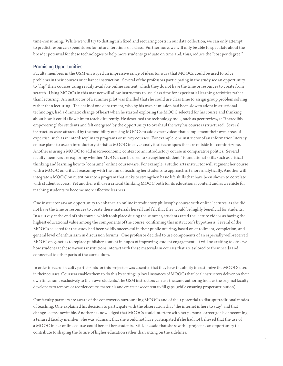time-consuming. While we will try to distinguish fixed and recurring costs in our data collection, we can only attempt to predict resource expenditures for future iterations of a class. Furthermore, we will only be able to speculate about the broader potential for these technologies to help more students graduate on time and, thus, reduce the "cost per degree."

#### Promising Opportunities

Faculty members in the USM envisaged an impressive range of ideas for ways that MOOCs could be used to solve problems in their courses or enhance instruction. Several of the professors participating in the study see an opportunity to "flip" their courses using readily available online content, which they do not have the time or resources to create from scratch. Using MOOCs in this manner will allow instructors to use class time for experiential learning activities rather than lecturing. An instructor of a summer pilot was thrilled that she could use class time to assign group problem solving rather than lecturing. The chair of one department, who by his own admission had been slow to adopt instructional technology, had a dramatic change of heart when he started exploring the MOOC selected for his course and thinking about how it could allow him to teach differently. He described the technology tools, such as peer review, as "incredibly empowering" for students and felt energized by the opportunity to overhaul the way his course is structured. Several instructors were attracted by the possibility of using MOOCs to add expert voices that complement their own areas of expertise, such as in interdisciplinary programs or survey courses. For example, one instructor of an information literacy course plans to use an introductory statistics MOOC to cover analytical techniques that are outside his comfort zone. Another is using a MOOC to add macroeconomic context to an introductory course in comparative politics. Several faculty members are exploring whether MOOCs can be used to strengthen students' foundational skills such as critical thinking and learning how to "consume" online courseware. For example, a studio arts instructor will augment her course with a MOOC on critical reasoning with the aim of teaching her students to approach art more analytically. Another will integrate a MOOC on nutrition into a program that seeks to strengthen basic life skills that have been shown to correlate with student success. Yet another will use a critical thinking MOOC both for its educational content and as a vehicle for teaching students to become more effective learners.

One instructor saw an opportunity to enhance an online introductory philosophy course with online lectures, as she did not have the time or resources to create these materials herself and felt that they would be highly beneficial for students. In a survey at the end of this course, which took place during the summer, students rated the lecture videos as having the highest educational value among the components of the course, confirming this instructor's hypothesis. Several of the MOOCs selected for the study had been wildly successful in their public offering, based on enrollment, completion, and general level of enthusiasm in discussion forums. One professor decided to use components of an especially well-received MOOC on genetics to replace publisher content in hopes of improving student engagement. It will be exciting to observe how students at these various institutions interact with these materials in courses that are tailored to their needs and connected to other parts of the curriculum.

In order to recruit faculty participants for this project, it was essential that they have the ability to customize the MOOCs used in their courses. Coursera enables them to do this by setting up local instances of MOOCs that local instructors deliver on their own time frame exclusively to their own students. The USM instructors can use the same authoring tools as the original faculty developers to remove or reorder course materials and create new content to fill gaps (while ensuring proper attribution).

Our faculty partners are aware of the controversy surrounding MOOCs and of their potential to disrupt traditional modes of teaching. One explained his decision to participate with the observation that "the internet is here to stay" and that change seems inevitable. Another acknowledged that MOOCs could interfere with her personal career goals of becoming a tenured faculty member. She was adamant that she would not have participated if she had not believed that the use of a MOOC in her online course could benefit her students. Still, she said that she saw this project as an opportunity to contribute to shaping the future of higher education rather than sitting on the sidelines.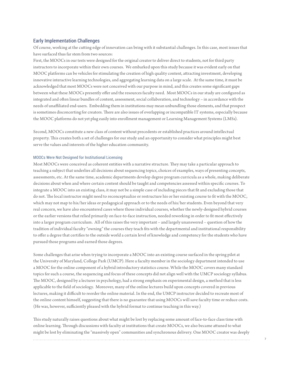#### Early Implementation Challenges

Of course, working at the cutting edge of innovation can bring with it substantial challenges. In this case, most issues that have surfaced thus far stem from two sources:

First, the MOOCs in our tests were designed for the original creator to deliver direct to students, not for third party instructors to incorporate within their own courses. We embarked upon this study because it was evident early on that MOOC platforms can be vehicles for stimulating the creation of high quality content, attracting investment, developing innovative interactive learning technologies, and aggregating learning data on a large scale. At the same time, it must be acknowledged that most MOOCs were not conceived with our purpose in mind, and this creates some significant gaps between what these MOOCs presently offer and the resources faculty need. Most MOOCs in our study are configured as integrated and often linear bundles of content, assessment, social collaboration, and technology – in accordance with the needs of unaffiliated end-users. Embedding them in institutions may mean unbundling those elements, and that prospect is sometimes disconcerting for creators. There are also issues of overlapping or incompatible IT systems, especially because the MOOC platforms do not yet plug easily into enrollment management or Learning Management Systems (LMSs).

Second, MOOCs constitute a new class of content without precedents or established practices around intellectual property. This creates both a set of challenges for our study and an opportunity to consider what principles might best serve the values and interests of the higher education community.

#### MOOCs Were Not Designed for Institutional Licensing

Most MOOCs were conceived as coherent entities with a narrative structure. They may take a particular approach to teaching a subject that underlies all decisions about sequencing topics, choices of examples, ways of presenting concepts, assessments, etc. At the same time, academic departments develop degree program curricula as a whole, making deliberate decisions about when and where certain content should be taught and competencies assessed within specific courses. To integrate a MOOC into an existing class, it may not be a simple case of including pieces that fit and excluding those that do not. The local instructor might need to reconceptualize or restructure his or her existing course to fit with the MOOC, which may not map to his/her ideas or pedagogical approach or to the needs of his/her students. Even beyond that very real concern, we have also encountered cases where those individual courses, whether the newly-designed hybrid courses or the earlier versions that relied primarily on face-to-face instruction, needed reworking in order to fit most effectively into a larger program curriculum. All of this raises the very important – and largely unanswered – question of how the tradition of individual faculty "owning" the courses they teach fits with the departmental and institutional responsibility to offer a degree that certifies to the outside world a certain level of knowledge and competency for the students who have pursued those programs and earned those degrees.

Some challenges that arise when trying to incorporate a MOOC into an existing course surfaced in the spring pilot at the University of Maryland, College Park (UMCP). Here a faculty member in the sociology department intended to use a MOOC for the online component of a hybrid introductory statistics course. While the MOOC covers many standard topics for such a course, the sequencing and focus of these concepts did not align well with the UMCP sociology syllabus. The MOOC, designed by a lecturer in psychology, had a strong emphasis on experimental design, a method that is less applicable to the field of sociology. Moreover, many of the online lectures build upon concepts covered in previous lectures, making it difficult to reorder the online material. In the end, the UMCP instructor decided to recreate most of the online content himself, suggesting that there is no guarantee that using MOOCs will save faculty time or reduce costs. (He was, however, sufficiently pleased with the hybrid format to continue teaching in this way.)

This study naturally raises questions about what might be lost by replacing some amount of face-to-face class time with online learning. Through discussions with faculty at institutions that create MOOCs, we also became attuned to what might be lost by eliminating the "massively open" communities and synchronous delivery. One MOOC creator was deeply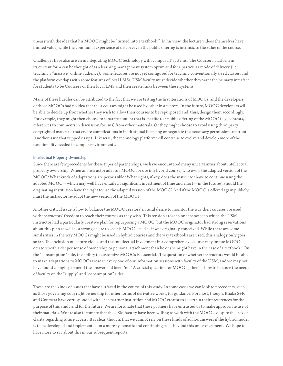uneasy with the idea that his MOOC might be "turned into a textbook." In his view, the lecture videos themselves have limited value, while the communal experience of discovery in the public offering is intrinsic to the value of the course.

Challenges have also arisen in integrating MOOC technology with campus IT systems. The Coursera platform in its current form can be thought of as a learning management system optimized for a particular mode of delivery (i.e., teaching a "massive" online audience). Some features are not yet configured for teaching conventionally sized classes, and the platform overlaps with some features of local LMSs. USM faculty must decide whether they want the primary interface for students to be Coursera or their local LMS and then create links between these systems.

Many of these hurdles can be attributed to the fact that we are testing the first iterations of MOOCs, and the developers of those MOOCs had no idea that their courses might be used by other instructors. In the future, MOOC developers will be able to decide up front whether they wish to allow their courses to be repurposed and, thus, design them accordingly. For example, they might then choose to separate content that is specific to a public offering of the MOOC (e.g. contests, references to comments in discussion forums) from other materials. Or they might choose to avoid using third party copyrighted materials that create complications in institutional licensing or negotiate the necessary permissions up front (another issue that tripped us up). Likewise, the technology platform will continue to evolve and develop more of the functionality needed in campus environments.

#### Intellectual Property Ownership

Since there are few precedents for these types of partnerships, we have encountered many uncertainties about intellectual property ownership. When an instructor adapts a MOOC for use in a hybrid course, who owns the adapted version of the MOOC? What kinds of adaptations are permissible? What rights, if any, does the instructor have to continue using the adapted MOOC—which may well have entailed a significant investment of time and effort—in the future? Should the originating institution have the right to use the adapted version of the MOOC? And if the MOOC is offered again publicly, must the instructor re-adapt the new version of the MOOC?

Another critical issue is how to balance the MOOC creators' natural desire to monitor the way their courses are used with instructors' freedom to teach their courses as they wish. This tension arose in one instance in which the USM instructor had a particularly creative plan for repurposing a MOOC, but the MOOC originator had strong reservations about this plan as well as a strong desire to see his MOOC used as it was originally conceived. While there are some similarities in the way MOOCs might be used in hybrid courses and the way textbooks are used, this analogy only goes so far. The inclusion of lecture videos and the intellectual investment in a comprehensive course may imbue MOOC creators with a deeper sense of ownership or personal attachment than he or she might have in the case of a textbook. On the "consumption" side, the ability to customize MOOCs is essential. The question of whether instructors would be able to make adaptations to MOOCs arose in every one of our information sessions with faculty of the USM, and we may not have found a single partner if the answer had been "no." A crucial question for MOOCs, then, is how to balance the needs of faculty on the "supply" and "consumption" sides.

These are the kinds of issues that have surfaced in the course of this study. In some cases we can look to precedents, such as those governing copyright ownership for other forms of derivative works, for guidance. For most, though, Ithaka S+R and Coursera have corresponded with each partner institution and MOOC creator to ascertain their preferences for the purpose of this study and for the future. We are fortunate that these partners have entrusted us to make appropriate use of their materials. We are also fortunate that the USM faculty have been willing to work with the MOOCs despite the lack of clarity regarding future access. It is clear, though, that we cannot rely on these kinds of ad hoc answers if the hybrid model is to be developed and implemented on a more systematic and continuing basis beyond this one experiment. We hope to have more to say about this in our subsequent reports.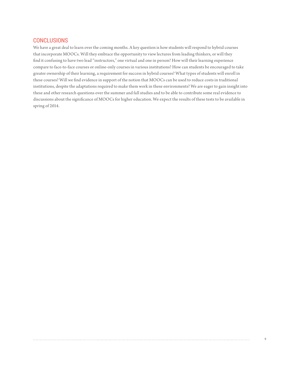## **CONCLUSIONS**

We have a great deal to learn over the coming months. A key question is how students will respond to hybrid courses that incorporate MOOCs. Will they embrace the opportunity to view lectures from leading thinkers, or will they find it confusing to have two lead "instructors," one virtual and one in person? How will their learning experience compare to face-to-face courses or online-only courses in various institutions? How can students be encouraged to take greater ownership of their learning, a requirement for success in hybrid courses? What types of students will enroll in these courses? Will we find evidence in support of the notion that MOOCs can be used to reduce costs in traditional institutions, despite the adaptations required to make them work in these environments? We are eager to gain insight into these and other research questions over the summer and fall studies and to be able to contribute some real evidence to discussions about the significance of MOOCs for higher education. We expect the results of these tests to be available in spring of 2014.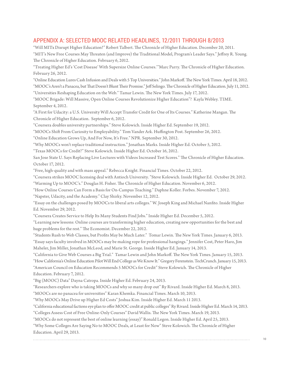## APPENDIX A: SELECTED MOOC RELATED HEADLINES, 12/2011 THROUGH 8/2013

"Will MITx Disrupt Higher Education?" Robert Talbert. The Chronicle of Higher Education. December 20, 2011. "MIT's New Free Courses May Threaten (and Improve) the Traditional Model, Program's Leader Says." Jeffrey R. Young. The Chronicle of Higher Education. February 6, 2012.

"Treating Higher Ed's 'Cost Disease' With Supersize Online Courses.'"Marc Parry. The Chronicle of Higher Education. February 26, 2012.

"Online Education Lures Cash Infusion and Deals with 5 Top Universities." John Markoff. The New York Times. April 18, 2012. "MOOC's Aren't a Panacea, but That Doesn't Blunt Their Promise." Jeff Selingo. The Chronicle of Higher Education. July 11, 2012. "Universities Reshaping Education on the Web." Tamar Lewin. The New York Times. July 17, 2012.

"MOOC Brigade: Will Massive, Open Online Courses Revolutionize Higher Education"? Kayla Webley. TIME. September 4, 2012.

"A First for Udacity: a U.S. University Will Accept Transfer Credit for One of Its Courses." Katherine Mangan. The Chronicle of Higher Education. September 6, 2012.

"Coursera doubles university partnerships." Steve Kolowich. Inside Higher Ed. September 19, 2012.

"MOOCs Shift From Curiosity to Employability." Tom Vander Ark. Huffington Post. September 26, 2012.

"Online Education Grows Up, And For Now, It's Free." NPR. September 30, 2012.

"Why MOOCs won't replace traditional instruction." Jonathan Marks. Inside Higher Ed. October 5, 2012.

"Texas MOOCs for Credit?" Steve Kolowich. Inside Higher Ed. October 16, 2012.

San Jose State U. Says Replacing Live Lectures with Videos Increased Test Scores." The Chronicle of Higher Education. October 17, 2012.

"Free, high-quality and with mass appeal." Rebecca Knight. Financial Times. October 22, 2012.

"Coursera strikes MOOC licensing deal with Antioch University. "Steve Kolowich. Inside Higher Ed. October 29, 2012. "Warming Up to MOOC's." Douglas H. Fisher. The Chronicle of Higher Education. November 6, 2012.

"How Online Courses Can Form a Basis for On-Campus Teaching." Daphne Koller. Forbes. November 7, 2012.

"Napster, Udacity, and the Academy." Clay Shirky. November 12, 2012.

"Essay on the challenges posed by MOOCs to liberal arts colleges." W. Joseph King and Michael Nanfito. Inside Higher Ed. November 29, 2012.

"Coursera Creates Service to Help Its Many Students Find Jobs." Inside Higher Ed. December 5, 2012.

"Learning new lessons: Online courses are transforming higher education, creating new opportunities for the best and huge problems for the rest." The Economist. December 22, 2012.

"Students Rush to Web Classes, but Profits May be Much Later." Tomar Lewin. The New York Times. January 6, 2013. "Essay says faculty involved in MOOCs may be making rope for professional hangings." Jennifer Cost, Peter Haro, Jim Maheler, Jim Miller, Jonathan McLeod, and Marie St. George. Inside Higher Ed. January 14, 2013.

"California to Give Web Courses a Big Trial." Tamar Lewin and John Markoff. The New York Times. January 15, 2013. "How California's Online Education Pilot Will End College as We Know It." Gregory Ferenstein. TechCrunch. January 15, 2013. "American Council on Education Recommends 5 MOOCs for Credit" Steve Kolowich. The Chronicle of Higher Education. February 7, 2012.

"Big (MOOC) Data" Dayna Catropa. Inside Higher Ed. February 24, 2013.

"Researchers explore who is taking MOOCs and why so many drop out" Ry Rivard. Inside Higher Ed. March 8, 2013.

"MOOCs are no panacea for universities" Karan Khemka. Financial Times. March 10, 2013.

"Why MOOCs May Drive up Higher Ed Costs" Joshua Kim. Inside Higher Ed. March 11 2013.

"California educational factions eye plan to offer MOOC credit at public colleges" Ry Rivard. Inside Higher Ed. March 14, 2013.

"Colleges Assess Cost of Free Online-Only Courses" David Wallis. The New York Times. March 19, 2013.

"MOOCs do not represent the best of online learning (essay)" Ronald Legon. Inside Higher Ed. April 25, 2013.

"Why Some Colleges Are Saying No to MOOC Deals, at Least for Now" Steve Kolowich. The Chronicle of Higher Education. April 29, 2013.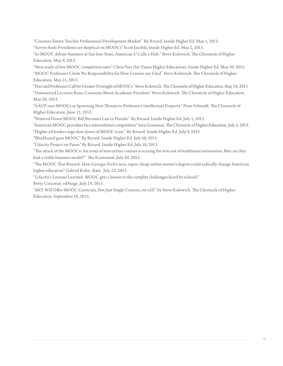"Coursera Enters Teacher Professional Development Market" Ry Rivard. Inside Higher Ed. May 1, 2013. "Survey finds Presidents are skeptical on MOOCs" Scott Jaschik. Inside Higher Ed. May 2, 2013.

"As MOOC debate Simmers at San Jose State, American U Calls a Halt." Steve Kolowich. The Chronicle of Higher Education. May 9, 2013.

"New study of low MOOC completion rates" Chris Parr (for Times Higher Education). Inside Higher Ed. May 10, 2013. "MOOC Professors Claim No Responsibility for How Courses are Used" Steve Kolowich. The Chronicle of Higher Education. May 21, 2013.

"Harvard Professors Call for Greater Oversight of MOOCs" Steve Kolowich. The Chronicle of Higher Education. May 24, 2013. "Outsourced Lectures Raise Concerns About Academic Freedom" Steve Kolowich. The Chronicle of Higher Education. May 28, 2013.

"AAUP sees MOOCs as Spawning New Threats to Professor's Intellectual Property" Peter Schmidt. The Chronicle of Higher Education. June 12, 2013.

"Watered Down'MOOC Bill Becomes Law in Florida" Ry Rivard. Inside Higher Ed. July 1, 2013.

"American MOOC providers face international competition" Sara Grossman. The Chronicle of Higher Education. July 5, 2013. "Higher ed leaders urge slow down of MOOC train" Ry Rivard. Inside Higher Ed. July 9, 2013.

"Blackboard goes MOOC" Ry Rivard. Inside Higher Ed. July 10, 2013.

"Udacity Project on Pause" Ry Rivard. Inside Higher Ed. July 18, 2013.

"The attack of the MOOCs: An army of new online courses is scaring the wits out of traditional universities. But can they find a viable business model?" The Economist. July 20, 2013.

"The MOOC That Roared: How Georgia Tech's new, super-cheap online master's degree could radically change American higher education" Gabriel Kahn. Slate. July 23, 2013.

"Udacity's Lessons Learned: MOOC gets a lesson in the complex challenges faced by schools"

Betsy Corcoran. edSurge. July 24, 2013.

"MIT Will Offer MOOC Curricula, Not Just Single Courses, on edX" by Steve Kolowich. The Chronicle of Higher Education. September 18, 2013.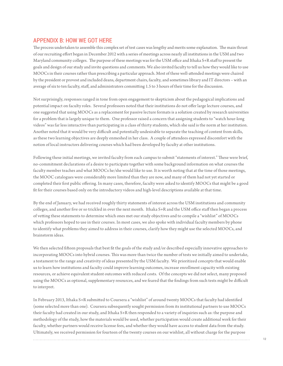## APPENDIX B: HOW WE GOT HERE

The process undertaken to assemble this complex set of test cases was lengthy and merits some explanation. The main thrust of our recruiting effort began in December 2012 with a series of meetings across nearly all institutions in the USM and two Maryland community colleges. The purpose of these meetings was for the USM office and Ithaka S+R staff to present the goals and design of our study and invite questions and comments. We also invited faculty to tell us how they would like to use MOOCs in their courses rather than prescribing a particular approach. Most of these well-attended meetings were chaired by the president or provost and included deans, department chairs, faculty, and sometimes library and IT directors – with an average of six to ten faculty, staff, and administrators committing 1.5 to 3 hours of their time for the discussion.

Not surprisingly, responses ranged in tone from open engagement to skepticism about the pedagogical implications and potential impact on faculty roles. Several professors noted that their institutions do not offer large lecture courses, and one suggested that using MOOCs as a replacement for passive lecture formats is a solution created by research universities for a problem that is largely unique to them. One professor raised a concern that assigning students to "watch hour-long videos" was far less interactive than participating in a class of thirty students, which she said is the norm at her institution. Another noted that it would be very difficult and potentially undesirable to separate the teaching of content from skills, as these two learning objectives are deeply enmeshed in her class. A couple of attendees expressed discomfort with the notion of local instructors delivering courses which had been developed by faculty at other institutions.

Following these initial meetings, we invited faculty from each campus to submit "statements of interest." These were brief, no-commitment declarations of a desire to participate together with some background information on what courses the faculty member teaches and what MOOCs he/she would like to use. It is worth noting that at the time of those meetings, the MOOC catalogues were considerably more limited than they are now, and many of them had not yet started or completed their first public offering. In many cases, therefore, faculty were asked to identify MOOCs that might be a good fit for their courses based only on the introductory videos and high-level descriptions available at that time.

By the end of January, we had received roughly thirty statements of interest across the USM institutions and community colleges, and another five or so trickled in over the next month. Ithaka S+R and the USM office staff then began a process of vetting these statements to determine which ones met our study objectives and to compile a "wishlist" of MOOCs which professors hoped to use in their courses. In most cases, we also spoke with individual faculty members by phone to identify what problems they aimed to address in their courses, clarify how they might use the selected MOOCs, and brainstorm ideas.

We then selected fifteen proposals that best fit the goals of the study and/or described especially innovative approaches to incorporating MOOCs into hybrid courses. This was more than twice the number of tests we initially aimed to undertake, a testament to the range and creativity of ideas presented by the USM faculty. We prioritized concepts that would enable us to learn how institutions and faculty could improve learning outcomes, increase enrollment capacity with existing resources, or achieve equivalent student outcomes with reduced costs. Of the concepts we did not select, many proposed using the MOOCs as optional, supplementary resources, and we feared that the findings from such tests might be difficult to interpret.

In February 2013, Ithaka S+R submitted to Coursera a "wishlist" of around twenty MOOCs that faculty had identified (some selected more than one). Coursera subsequently sought permission from its institutional partners to use MOOCs their faculty had created in our study, and Ithaka S+R then responded to a variety of inquiries such as: the purpose and methodology of the study, how the materials would be used, whether participation would create additional work for their faculty, whether partners would receive license fees, and whether they would have access to student data from the study. Ultimately, we received permission for fourteen of the twenty courses on our wishlist, all without charge for the purpose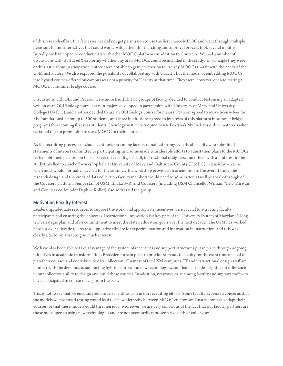of this research effort. In a few cases, we did not get permission to use the first choice MOOC and went through multiple iterations to find alternatives that could work. Altogether, this matching and approval process took several months. Initially, we had hoped to conduct tests with other MOOC platforms in addition to Coursera. We had a number of discussions with staff at edX exploring whether any of its MOOCs could be included in the study. In principle they were enthusiastic about participation, but we were not able to gain permission to use any MOOCs that fit with the needs of the USM instructors. We also explored the possibility of collaborating with Udacity, but the model of embedding MOOCs into hybrid courses offered on campus was not a priority for Udacity at that time. They were, however, open to testing a MOOC in a summer bridge course.

Discussions with OLI and Pearson were more fruitful. Two groups of faculty decided to conduct tests using an adapted version of an OLI Biology course for non-majors developed in partnership with University of Maryland University College (UMUC), and another decided to use an OLI Biology course for majors. Pearson agreed to waive license fees for MyFoundationsLab for up to 500 students, and three institutions agreed to join tests of this platform in summer bridge programs for incoming first year students. Sociology instructors opted to use Pearson's MySocLabs online materials when we failed to gain permission to use a MOOC in their course.

As the recruiting process concluded, enthusiasm among faculty remained strong. Nearly all faculty who submitted statements of interest committed to participating, and some made considerable efforts to adjust their plans to the MOOCs we had obtained permission to use. Over fifty faculty, IT staff, instructional designers, and others with an interest in the study travelled to a kickoff workshop held at University of Maryland, Baltimore County (UMBC) in late May – a time when most would normally have left for the summer. The workshop provided an orientation to the overall study, the research design and the kinds of data collection faculty members would need to administer, as well as a walk-through of the Coursera platform. Senior staff of USM, Ithaka S+R, and Coursera (including USM Chancellor William "Brit" Kirwan and Coursera co-founder Daphne Koller) also addressed the group.

#### Motivating Faculty Interest

Leadership, adequate resources to support the work, and appropriate incentives were crucial to attracting faculty participants and ensuring their success. Instructional innovation is a key part of the University System of Maryland's longterm strategic plan and of its commitment to meet the state's education goals over the next decade. The USM has worked hard for over a decade to create a supportive climate for experimentation and innovation in instruction, and this was clearly a factor in attracting so much interest.

We have also been able to take advantage of the system of incentives and support structures put in place through ongoing initiatives in academic transformation. Precedents are in place to provide stipends to faculty for the extra time needed to plan their courses and contribute to data collection. On most of the USM campuses, IT and instructional design staff are familiar with the demands of supporting hybrid courses and new technologies, and that has made a significant difference in our collective ability to design and build these courses. In addition, networks exist among faculty and support staff who have participated in course redesigns in the past.

This is not to say that we encountered universal enthusiasm in our recruiting efforts. Some faculty expressed concerns that the models we proposed testing would lead to a new hierarchy between MOOC creators and instructors who adapt their courses, or that these models could threaten jobs. Moreover, we are very conscious of the fact that our faculty partners are those most open to using new technologies and are not necessarily representative of their colleagues.